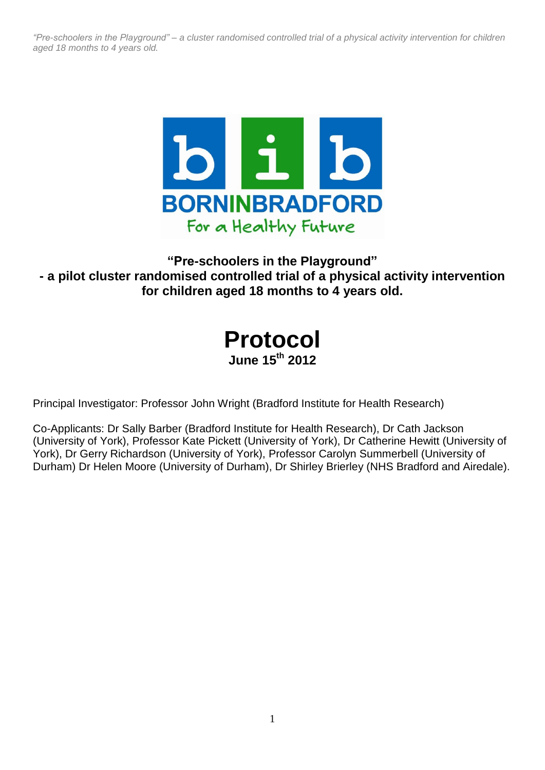

# **"Pre-schoolers in the Playground" - a pilot cluster randomised controlled trial of a physical activity intervention for children aged 18 months to 4 years old.**

| <b>Protocol</b>            |
|----------------------------|
| June 15 <sup>th</sup> 2012 |

Principal Investigator: Professor John Wright (Bradford Institute for Health Research)

Co-Applicants: Dr Sally Barber (Bradford Institute for Health Research), Dr Cath Jackson (University of York), Professor Kate Pickett (University of York), Dr Catherine Hewitt (University of York), Dr Gerry Richardson (University of York), Professor Carolyn Summerbell (University of Durham) Dr Helen Moore (University of Durham), Dr Shirley Brierley (NHS Bradford and Airedale).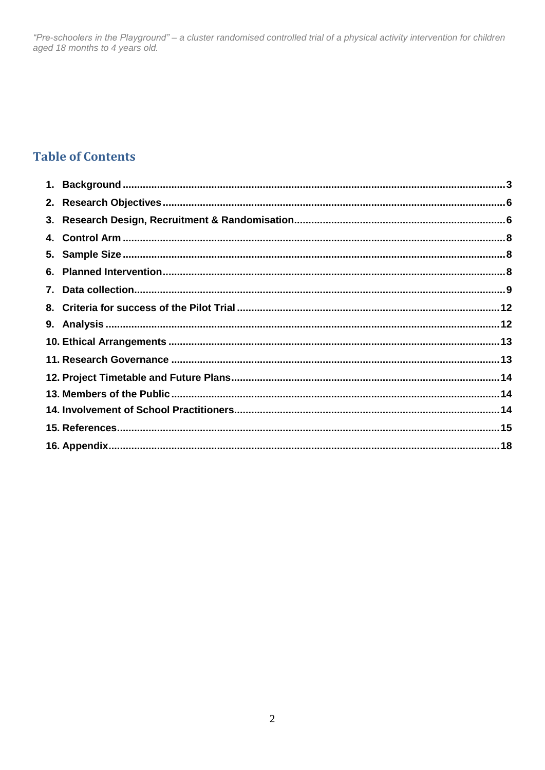# **Table of Contents**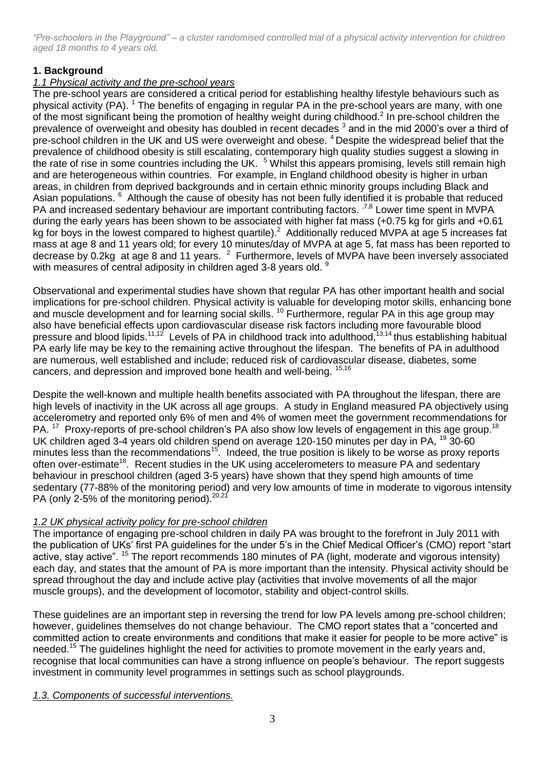# **1. Background**

# *1.1 Physical activity and the pre-school years*

The pre-school years are considered a critical period for establishing healthy lifestyle behaviours such as physical activity (PA). <sup>1</sup> The benefits of engaging in regular PA in the pre-school years are many, with one of the most significant being the promotion of healthy weight during childhood.<sup>2</sup> In pre-school children the prevalence of overweight and obesity has doubled in recent decades <sup>3</sup> and in the mid 2000's over a third of pre-school children in the UK and US were overweight and obese.<sup>4</sup> Despite the widespread belief that the prevalence of childhood obesity is still escalating, contemporary high quality studies suggest a slowing in the rate of rise in some countries including the UK. <sup>5</sup> Whilst this appears promising, levels still remain high and are heterogeneous within countries. For example, in England childhood obesity is higher in urban areas, in children from deprived backgrounds and in certain ethnic minority groups including Black and Asian populations. <sup>6</sup> Although the cause of obesity has not been fully identified it is probable that reduced PA and increased sedentary behaviour are important contributing factors. <sup>7,8</sup> Lower time spent in MVPA during the early years has been shown to be associated with higher fat mass (+0.75 kg for girls and +0.61 kg for boys in the lowest compared to highest quartile).<sup>2</sup> Additionally reduced MVPA at age 5 increases fat mass at age 8 and 11 years old; for every 10 minutes/day of MVPA at age 5, fat mass has been reported to decrease by 0.2kg at age 8 and 11 years.  $^2$  Furthermore, levels of MVPA have been inversely associated with measures of central adiposity in children aged 3-8 years old. <sup>9</sup>

Observational and experimental studies have shown that regular PA has other important health and social implications for pre-school children. Physical activity is valuable for developing motor skills, enhancing bone and muscle development and for learning social skills.<sup>10</sup> Furthermore, regular PA in this age group may also have beneficial effects upon cardiovascular disease risk factors including more favourable blood pressure and blood lipids.<sup>11,12</sup> Levels of PA in childhood track into adulthood, <sup>13,14</sup> thus establishing habitual PA early life may be key to the remaining active throughout the lifespan. The benefits of PA in adulthood are numerous, well established and include; reduced risk of cardiovascular disease, diabetes, some cancers, and depression and improved bone health and well-being. <sup>15,16</sup>

Despite the well-known and multiple health benefits associated with PA throughout the lifespan, there are high levels of inactivity in the UK across all age groups. A study in England measured PA objectively using accelerometry and reported only 6% of men and 4% of women meet the government recommendations for PA.<sup>17</sup> Proxy-reports of pre-school children's PA also show low levels of engagement in this age group.<sup>18</sup> UK children aged 3-4 years old children spend on average 120-150 minutes per day in PA, <sup>19</sup> 30-60 minutes less than the recommendations<sup>15</sup>. Indeed, the true position is likely to be worse as proxy reports often over-estimate<sup>18</sup>. Recent studies in the UK using accelerometers to measure PA and sedentary behaviour in preschool children (aged 3-5 years) have shown that they spend high amounts of time sedentary (77-88% of the monitoring period) and very low amounts of time in moderate to vigorous intensity PA (only 2-5% of the monitoring period).  $20,21$ 

# *1.2 UK physical activity policy for pre-school children*

The importance of engaging pre-school children in daily PA was brought to the forefront in July 2011 with the publication of UKs' first PA guidelines for the under 5's in the Chief Medical Officer's (CMO) report "start active, stay active". <sup>15</sup> The report recommends 180 minutes of PA (light, moderate and vigorous intensity) each day, and states that the amount of PA is more important than the intensity. Physical activity should be spread throughout the day and include active play (activities that involve movements of all the major muscle groups), and the development of locomotor, stability and object-control skills.

These guidelines are an important step in reversing the trend for low PA levels among pre-school children; however, guidelines themselves do not change behaviour. The CMO report states that a "concerted and committed action to create environments and conditions that make it easier for people to be more active" is needed.<sup>15</sup> The guidelines highlight the need for activities to promote movement in the early years and, recognise that local communities can have a strong influence on people's behaviour. The report suggests investment in community level programmes in settings such as school playgrounds.

# *1.3. Components of successful interventions.*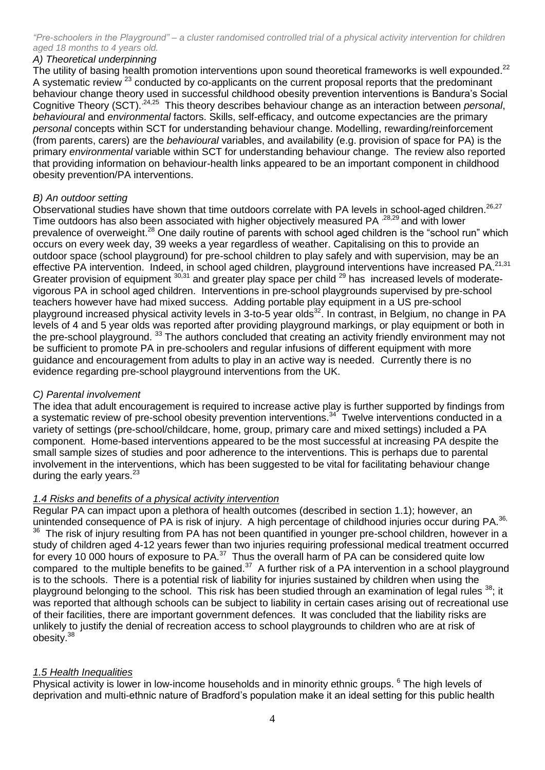# *A) Theoretical underpinning*

The utility of basing health promotion interventions upon sound theoretical frameworks is well expounded.<sup>22</sup> A systematic review <sup>23</sup> conducted by co-applicants on the current proposal reports that the predominant behaviour change theory used in successful childhood obesity prevention interventions is Bandura's Social Cognitive Theory (SCT).<sup>24,25</sup> This theory describes behaviour change as an interaction between *personal*, *behavioural* and *environmental* factors. Skills, self-efficacy, and outcome expectancies are the primary *personal* concepts within SCT for understanding behaviour change. Modelling, rewarding/reinforcement (from parents, carers) are the *behavioural* variables, and availability (e.g. provision of space for PA) is the primary *environmental* variable within SCT for understanding behaviour change. The review also reported that providing information on behaviour-health links appeared to be an important component in childhood obesity prevention/PA interventions.

# *B) An outdoor setting*

Observational studies have shown that time outdoors correlate with PA levels in school-aged children.<sup>26,27</sup> Time outdoors has also been associated with higher objectively measured PA <sup>,28,29</sup> and with lower prevalence of overweight.<sup>28</sup> One daily routine of parents with school aged children is the "school run" which occurs on every week day, 39 weeks a year regardless of weather. Capitalising on this to provide an outdoor space (school playground) for pre-school children to play safely and with supervision, may be an effective PA intervention. Indeed, in school aged children, playground interventions have increased PA.<sup>21,31</sup> Greater provision of equipment 30,31 and greater play space per child <sup>29</sup> has increased levels of moderatevigorous PA in school aged children. Interventions in pre-school playgrounds supervised by pre-school teachers however have had mixed success. Adding portable play equipment in a US pre-school playground increased physical activity levels in 3-to-5 year olds<sup>32</sup>. In contrast, in Belgium, no change in PA levels of 4 and 5 year olds was reported after providing playground markings, or play equipment or both in the pre-school playground. <sup>33</sup> The authors concluded that creating an activity friendly environment may not be sufficient to promote PA in pre-schoolers and regular infusions of different equipment with more guidance and encouragement from adults to play in an active way is needed. Currently there is no evidence regarding pre-school playground interventions from the UK.

# *C) Parental involvement*

The idea that adult encouragement is required to increase active play is further supported by findings from a systematic review of pre-school obesity prevention interventions.<sup>34</sup> Twelve interventions conducted in a variety of settings (pre-school/childcare, home, group, primary care and mixed settings) included a PA component. Home-based interventions appeared to be the most successful at increasing PA despite the small sample sizes of studies and poor adherence to the interventions. This is perhaps due to parental involvement in the interventions, which has been suggested to be vital for facilitating behaviour change during the early years.<sup>23</sup>

# *1.4 Risks and benefits of a physical activity intervention*

Regular PA can impact upon a plethora of health outcomes (described in section 1.1); however, an unintended consequence of PA is risk of injury. A high percentage of childhood injuries occur during PA.<sup>36,</sup> <sup>36</sup> The risk of injury resulting from PA has not been quantified in younger pre-school children, however in a study of children aged 4-12 years fewer than two injuries requiring professional medical treatment occurred for every 10 000 hours of exposure to PA.<sup>37</sup> Thus the overall harm of PA can be considered quite low compared to the multiple benefits to be gained. $37$  A further risk of a PA intervention in a school playground is to the schools. There is a potential risk of liability for injuries sustained by children when using the playground belonging to the school. This risk has been studied through an examination of legal rules <sup>38</sup>; it was reported that although schools can be subject to liability in certain cases arising out of recreational use of their facilities, there are important government defences. It was concluded that the liability risks are unlikely to justify the denial of recreation access to school playgrounds to children who are at risk of obesity. 38

# *1.5 Health Inequalities*

Physical activity is lower in low-income households and in minority ethnic groups. <sup>6</sup> The high levels of deprivation and multi-ethnic nature of Bradford's population make it an ideal setting for this public health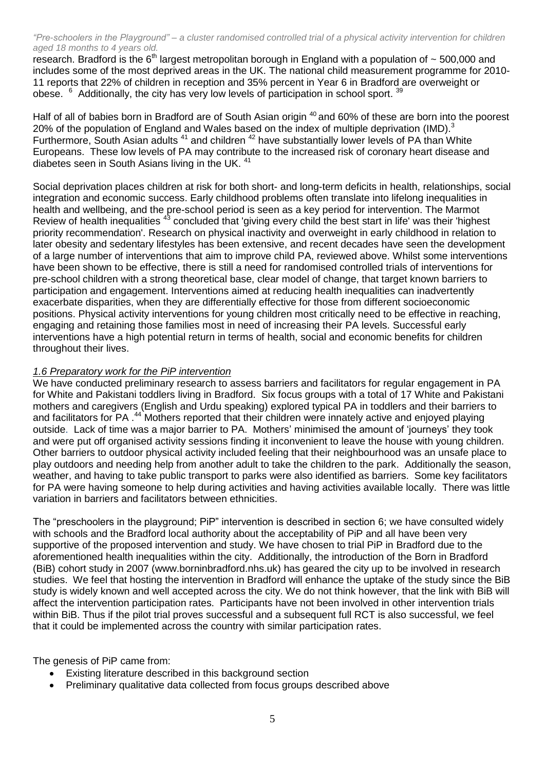research. Bradford is the  $6<sup>th</sup>$  largest metropolitan borough in England with a population of  $\sim$  500,000 and includes some of the most deprived areas in the UK. The national child measurement programme for 2010- 11 reports that 22% of children in reception and 35% percent in Year 6 in Bradford are overweight or obese. <sup>6</sup> Additionally, the city has very low levels of participation in school sport. <sup>39</sup>

Half of all of babies born in Bradford are of South Asian origin <sup>40</sup> and 60% of these are born into the poorest 20% of the population of England and Wales based on the index of multiple deprivation (IMD).<sup>3</sup> Furthermore, South Asian adults<sup>41</sup> and children <sup>42</sup> have substantially lower levels of PA than White Europeans. These low levels of PA may contribute to the increased risk of coronary heart disease and diabetes seen in South Asians living in the UK.<sup>41</sup>

Social deprivation places children at risk for both short- and long-term deficits in health, relationships, social integration and economic success. Early childhood problems often translate into lifelong inequalities in health and wellbeing, and the pre-school period is seen as a key period for intervention. The Marmot Review of health inequalities <sup>43</sup> concluded that 'giving every child the best start in life' was their 'highest priority recommendation'. Research on physical inactivity and overweight in early childhood in relation to later obesity and sedentary lifestyles has been extensive, and recent decades have seen the development of a large number of interventions that aim to improve child PA, reviewed above. Whilst some interventions have been shown to be effective, there is still a need for randomised controlled trials of interventions for pre-school children with a strong theoretical base, clear model of change, that target known barriers to participation and engagement. Interventions aimed at reducing health inequalities can inadvertently exacerbate disparities, when they are differentially effective for those from different socioeconomic positions. Physical activity interventions for young children most critically need to be effective in reaching, engaging and retaining those families most in need of increasing their PA levels. Successful early interventions have a high potential return in terms of health, social and economic benefits for children throughout their lives.

# *1.6 Preparatory work for the PiP intervention*

We have conducted preliminary research to assess barriers and facilitators for regular engagement in PA for White and Pakistani toddlers living in Bradford. Six focus groups with a total of 17 White and Pakistani mothers and caregivers (English and Urdu speaking) explored typical PA in toddlers and their barriers to and facilitators for PA .<sup>44</sup> Mothers reported that their children were innately active and enjoyed playing outside. Lack of time was a major barrier to PA. Mothers' minimised the amount of 'journeys' they took and were put off organised activity sessions finding it inconvenient to leave the house with young children. Other barriers to outdoor physical activity included feeling that their neighbourhood was an unsafe place to play outdoors and needing help from another adult to take the children to the park. Additionally the season, weather, and having to take public transport to parks were also identified as barriers. Some key facilitators for PA were having someone to help during activities and having activities available locally. There was little variation in barriers and facilitators between ethnicities.

The "preschoolers in the playground; PiP" intervention is described in section 6; we have consulted widely with schools and the Bradford local authority about the acceptability of PiP and all have been very supportive of the proposed intervention and study. We have chosen to trial PiP in Bradford due to the aforementioned health inequalities within the city. Additionally, the introduction of the Born in Bradford (BiB) cohort study in 2007 (www.borninbradford.nhs.uk) has geared the city up to be involved in research studies. We feel that hosting the intervention in Bradford will enhance the uptake of the study since the BiB study is widely known and well accepted across the city. We do not think however, that the link with BiB will affect the intervention participation rates. Participants have not been involved in other intervention trials within BiB. Thus if the pilot trial proves successful and a subsequent full RCT is also successful, we feel that it could be implemented across the country with similar participation rates.

The genesis of PiP came from:

- Existing literature described in this background section
- Preliminary qualitative data collected from focus groups described above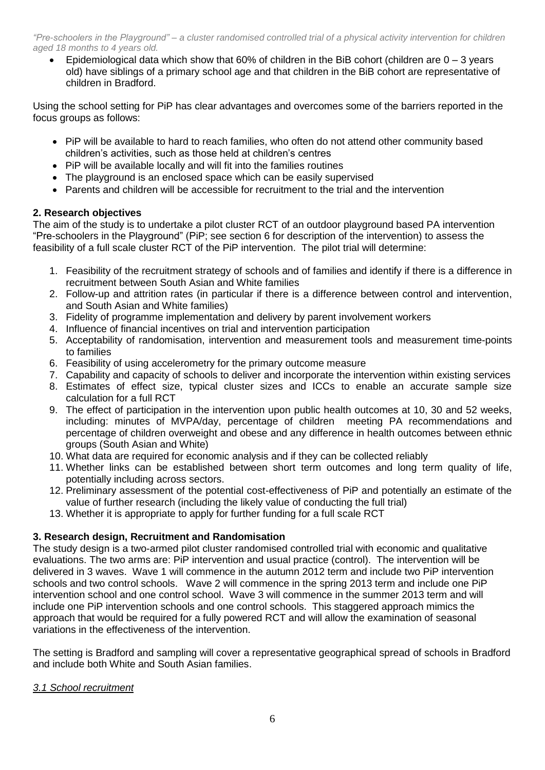Epidemiological data which show that 60% of children in the BiB cohort (children are  $0 - 3$  years old) have siblings of a primary school age and that children in the BiB cohort are representative of children in Bradford.

Using the school setting for PiP has clear advantages and overcomes some of the barriers reported in the focus groups as follows:

- PiP will be available to hard to reach families, who often do not attend other community based children's activities, such as those held at children's centres
- PiP will be available locally and will fit into the families routines
- The playground is an enclosed space which can be easily supervised
- Parents and children will be accessible for recruitment to the trial and the intervention

# **2. Research objectives**

The aim of the study is to undertake a pilot cluster RCT of an outdoor playground based PA intervention "Pre-schoolers in the Playground" (PiP; see section 6 for description of the intervention) to assess the feasibility of a full scale cluster RCT of the PiP intervention. The pilot trial will determine:

- 1. Feasibility of the recruitment strategy of schools and of families and identify if there is a difference in recruitment between South Asian and White families
- 2. Follow-up and attrition rates (in particular if there is a difference between control and intervention, and South Asian and White families)
- 3. Fidelity of programme implementation and delivery by parent involvement workers
- 4. Influence of financial incentives on trial and intervention participation
- 5. Acceptability of randomisation, intervention and measurement tools and measurement time-points to families
- 6. Feasibility of using accelerometry for the primary outcome measure
- 7. Capability and capacity of schools to deliver and incorporate the intervention within existing services
- 8. Estimates of effect size, typical cluster sizes and ICCs to enable an accurate sample size calculation for a full RCT
- 9. The effect of participation in the intervention upon public health outcomes at 10, 30 and 52 weeks, including: minutes of MVPA/day, percentage of children meeting PA recommendations and percentage of children overweight and obese and any difference in health outcomes between ethnic groups (South Asian and White)
- 10. What data are required for economic analysis and if they can be collected reliably
- 11. Whether links can be established between short term outcomes and long term quality of life, potentially including across sectors.
- 12. Preliminary assessment of the potential cost-effectiveness of PiP and potentially an estimate of the value of further research (including the likely value of conducting the full trial)
- 13. Whether it is appropriate to apply for further funding for a full scale RCT

# **3. Research design, Recruitment and Randomisation**

The study design is a two-armed pilot cluster randomised controlled trial with economic and qualitative evaluations. The two arms are: PiP intervention and usual practice (control). The intervention will be delivered in 3 waves. Wave 1 will commence in the autumn 2012 term and include two PiP intervention schools and two control schools. Wave 2 will commence in the spring 2013 term and include one PiP intervention school and one control school. Wave 3 will commence in the summer 2013 term and will include one PiP intervention schools and one control schools. This staggered approach mimics the approach that would be required for a fully powered RCT and will allow the examination of seasonal variations in the effectiveness of the intervention.

The setting is Bradford and sampling will cover a representative geographical spread of schools in Bradford and include both White and South Asian families.

# *3.1 School recruitment*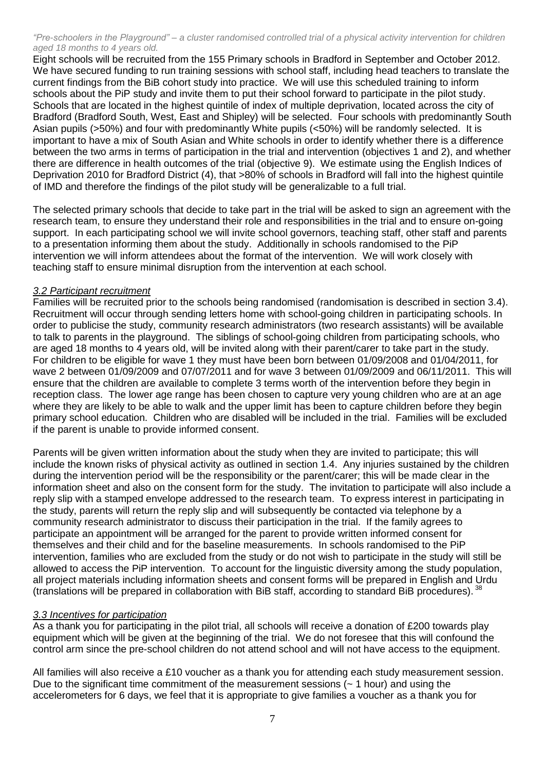Eight schools will be recruited from the 155 Primary schools in Bradford in September and October 2012. We have secured funding to run training sessions with school staff, including head teachers to translate the current findings from the BiB cohort study into practice. We will use this scheduled training to inform schools about the PiP study and invite them to put their school forward to participate in the pilot study. Schools that are located in the highest quintile of index of multiple deprivation, located across the city of Bradford (Bradford South, West, East and Shipley) will be selected. Four schools with predominantly South Asian pupils (>50%) and four with predominantly White pupils (<50%) will be randomly selected. It is important to have a mix of South Asian and White schools in order to identify whether there is a difference between the two arms in terms of participation in the trial and intervention (objectives 1 and 2), and whether there are difference in health outcomes of the trial (objective 9). We estimate using the English Indices of Deprivation 2010 for Bradford District (4), that >80% of schools in Bradford will fall into the highest quintile of IMD and therefore the findings of the pilot study will be generalizable to a full trial.

The selected primary schools that decide to take part in the trial will be asked to sign an agreement with the research team, to ensure they understand their role and responsibilities in the trial and to ensure on-going support. In each participating school we will invite school governors, teaching staff, other staff and parents to a presentation informing them about the study. Additionally in schools randomised to the PiP intervention we will inform attendees about the format of the intervention. We will work closely with teaching staff to ensure minimal disruption from the intervention at each school.

### *3.2 Participant recruitment*

Families will be recruited prior to the schools being randomised (randomisation is described in section 3.4). Recruitment will occur through sending letters home with school-going children in participating schools. In order to publicise the study, community research administrators (two research assistants) will be available to talk to parents in the playground. The siblings of school-going children from participating schools, who are aged 18 months to 4 years old, will be invited along with their parent/carer to take part in the study. For children to be eligible for wave 1 they must have been born between 01/09/2008 and 01/04/2011, for wave 2 between 01/09/2009 and 07/07/2011 and for wave 3 between 01/09/2009 and 06/11/2011. This will ensure that the children are available to complete 3 terms worth of the intervention before they begin in reception class. The lower age range has been chosen to capture very young children who are at an age where they are likely to be able to walk and the upper limit has been to capture children before they begin primary school education. Children who are disabled will be included in the trial. Families will be excluded if the parent is unable to provide informed consent.

Parents will be given written information about the study when they are invited to participate; this will include the known risks of physical activity as outlined in section 1.4. Any injuries sustained by the children during the intervention period will be the responsibility or the parent/carer; this will be made clear in the information sheet and also on the consent form for the study. The invitation to participate will also include a reply slip with a stamped envelope addressed to the research team. To express interest in participating in the study, parents will return the reply slip and will subsequently be contacted via telephone by a community research administrator to discuss their participation in the trial. If the family agrees to participate an appointment will be arranged for the parent to provide written informed consent for themselves and their child and for the baseline measurements. In schools randomised to the PiP intervention, families who are excluded from the study or do not wish to participate in the study will still be allowed to access the PiP intervention. To account for the linguistic diversity among the study population, all project materials including information sheets and consent forms will be prepared in English and Urdu (translations will be prepared in collaboration with BiB staff, according to standard BiB procedures). <sup>38</sup>

#### *3.3 Incentives for participation*

As a thank you for participating in the pilot trial, all schools will receive a donation of £200 towards play equipment which will be given at the beginning of the trial. We do not foresee that this will confound the control arm since the pre-school children do not attend school and will not have access to the equipment.

All families will also receive a £10 voucher as a thank you for attending each study measurement session. Due to the significant time commitment of the measurement sessions  $(-1$  hour) and using the accelerometers for 6 days, we feel that it is appropriate to give families a voucher as a thank you for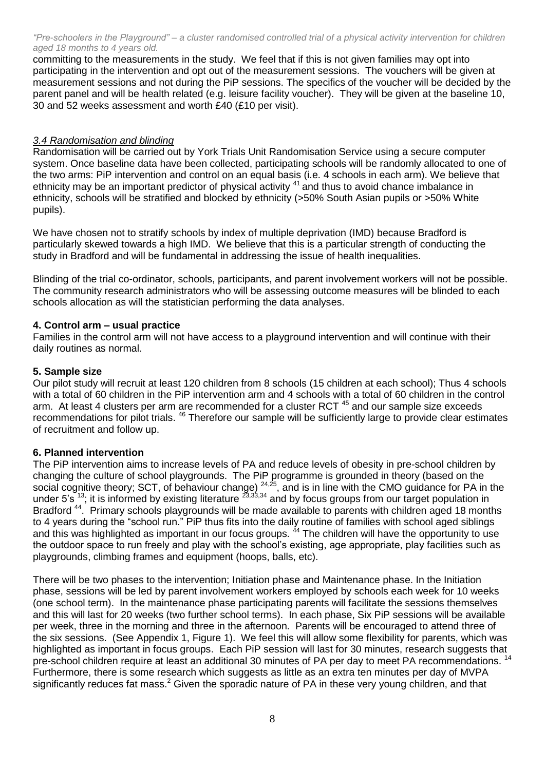committing to the measurements in the study. We feel that if this is not given families may opt into participating in the intervention and opt out of the measurement sessions. The vouchers will be given at measurement sessions and not during the PiP sessions. The specifics of the voucher will be decided by the parent panel and will be health related (e.g. leisure facility voucher). They will be given at the baseline 10, 30 and 52 weeks assessment and worth £40 (£10 per visit).

# *3.4 Randomisation and blinding*

Randomisation will be carried out by York Trials Unit Randomisation Service using a secure computer system. Once baseline data have been collected, participating schools will be randomly allocated to one of the two arms: PiP intervention and control on an equal basis (i.e. 4 schools in each arm). We believe that ethnicity may be an important predictor of physical activity <sup>41</sup> and thus to avoid chance imbalance in ethnicity, schools will be stratified and blocked by ethnicity (>50% South Asian pupils or >50% White pupils).

We have chosen not to stratify schools by index of multiple deprivation (IMD) because Bradford is particularly skewed towards a high IMD. We believe that this is a particular strength of conducting the study in Bradford and will be fundamental in addressing the issue of health inequalities.

Blinding of the trial co-ordinator, schools, participants, and parent involvement workers will not be possible. The community research administrators who will be assessing outcome measures will be blinded to each schools allocation as will the statistician performing the data analyses.

# **4. Control arm – usual practice**

Families in the control arm will not have access to a playground intervention and will continue with their daily routines as normal.

# **5. Sample size**

Our pilot study will recruit at least 120 children from 8 schools (15 children at each school); Thus 4 schools with a total of 60 children in the PiP intervention arm and 4 schools with a total of 60 children in the control arm. At least 4 clusters per arm are recommended for a cluster RCT<sup>45</sup> and our sample size exceeds recommendations for pilot trials. <sup>46</sup> Therefore our sample will be sufficiently large to provide clear estimates of recruitment and follow up.

# **6. Planned intervention**

The PiP intervention aims to increase levels of PA and reduce levels of obesity in pre-school children by changing the culture of school playgrounds. The PiP programme is grounded in theory (based on the social cognitive theory; SCT, of behaviour change)  $^{24,25}$ , and is in line with the CMO guidance for PA in the under 5's  $^{13}$ ; it is informed by existing literature  $^{23,33,34}$  and by focus groups from our target population in Bradford<sup>44</sup>. Primary schools playgrounds will be made available to parents with children aged 18 months to 4 years during the "school run." PiP thus fits into the daily routine of families with school aged siblings and this was highlighted as important in our focus groups. <sup>44</sup> The children will have the opportunity to use the outdoor space to run freely and play with the school's existing, age appropriate, play facilities such as playgrounds, climbing frames and equipment (hoops, balls, etc).

There will be two phases to the intervention; Initiation phase and Maintenance phase. In the Initiation phase, sessions will be led by parent involvement workers employed by schools each week for 10 weeks (one school term). In the maintenance phase participating parents will facilitate the sessions themselves and this will last for 20 weeks (two further school terms). In each phase, Six PiP sessions will be available per week, three in the morning and three in the afternoon. Parents will be encouraged to attend three of the six sessions. (See Appendix 1, Figure 1). We feel this will allow some flexibility for parents, which was highlighted as important in focus groups. Each PiP session will last for 30 minutes, research suggests that pre-school children require at least an additional 30 minutes of PA per day to meet PA recommendations.<sup>14</sup> Furthermore, there is some research which suggests as little as an extra ten minutes per day of MVPA significantly reduces fat mass.<sup>2</sup> Given the sporadic nature of PA in these very young children, and that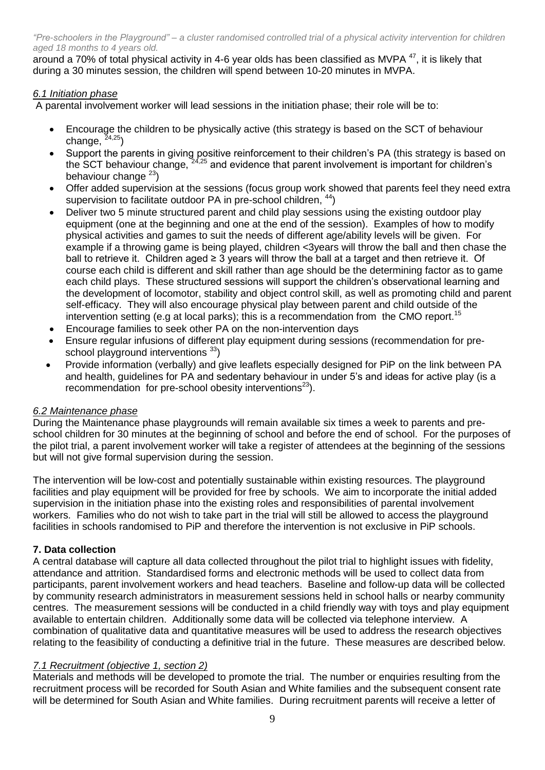around a 70% of total physical activity in 4-6 year olds has been classified as MVPA<sup>47</sup>, it is likely that during a 30 minutes session, the children will spend between 10-20 minutes in MVPA.

# *6.1 Initiation phase*

A parental involvement worker will lead sessions in the initiation phase; their role will be to:

- Encourage the children to be physically active (this strategy is based on the SCT of behaviour change,  $24,25)$
- Support the parents in giving positive reinforcement to their children's PA (this strategy is based on the SCT behaviour change,  $24.25$  and evidence that parent involvement is important for children's behaviour change <sup>23</sup>)
- Offer added supervision at the sessions (focus group work showed that parents feel they need extra supervision to facilitate outdoor PA in pre-school children,  $44$ )
- Deliver two 5 minute structured parent and child play sessions using the existing outdoor play equipment (one at the beginning and one at the end of the session). Examples of how to modify physical activities and games to suit the needs of different age/ability levels will be given. For example if a throwing game is being played, children <3years will throw the ball and then chase the ball to retrieve it. Children aged ≥ 3 years will throw the ball at a target and then retrieve it. Of course each child is different and skill rather than age should be the determining factor as to game each child plays. These structured sessions will support the children's observational learning and the development of locomotor, stability and object control skill, as well as promoting child and parent self-efficacy. They will also encourage physical play between parent and child outside of the intervention setting (e.g at local parks); this is a recommendation from the CMO report.<sup>15</sup>
- Encourage families to seek other PA on the non-intervention days
- Ensure regular infusions of different play equipment during sessions (recommendation for preschool playground interventions 33)
- Provide information (verbally) and give leaflets especially designed for PiP on the link between PA and health, guidelines for PA and sedentary behaviour in under 5's and ideas for active play (is a recommendation for pre-school obesity interventions<sup>23</sup>).

# *6.2 Maintenance phase*

During the Maintenance phase playgrounds will remain available six times a week to parents and preschool children for 30 minutes at the beginning of school and before the end of school. For the purposes of the pilot trial, a parent involvement worker will take a register of attendees at the beginning of the sessions but will not give formal supervision during the session.

The intervention will be low-cost and potentially sustainable within existing resources. The playground facilities and play equipment will be provided for free by schools. We aim to incorporate the initial added supervision in the initiation phase into the existing roles and responsibilities of parental involvement workers. Families who do not wish to take part in the trial will still be allowed to access the playground facilities in schools randomised to PiP and therefore the intervention is not exclusive in PiP schools.

# **7. Data collection**

A central database will capture all data collected throughout the pilot trial to highlight issues with fidelity, attendance and attrition. Standardised forms and electronic methods will be used to collect data from participants, parent involvement workers and head teachers. Baseline and follow-up data will be collected by community research administrators in measurement sessions held in school halls or nearby community centres. The measurement sessions will be conducted in a child friendly way with toys and play equipment available to entertain children. Additionally some data will be collected via telephone interview. A combination of qualitative data and quantitative measures will be used to address the research objectives relating to the feasibility of conducting a definitive trial in the future. These measures are described below.

# *7.1 Recruitment (objective 1, section 2)*

Materials and methods will be developed to promote the trial. The number or enquiries resulting from the recruitment process will be recorded for South Asian and White families and the subsequent consent rate will be determined for South Asian and White families. During recruitment parents will receive a letter of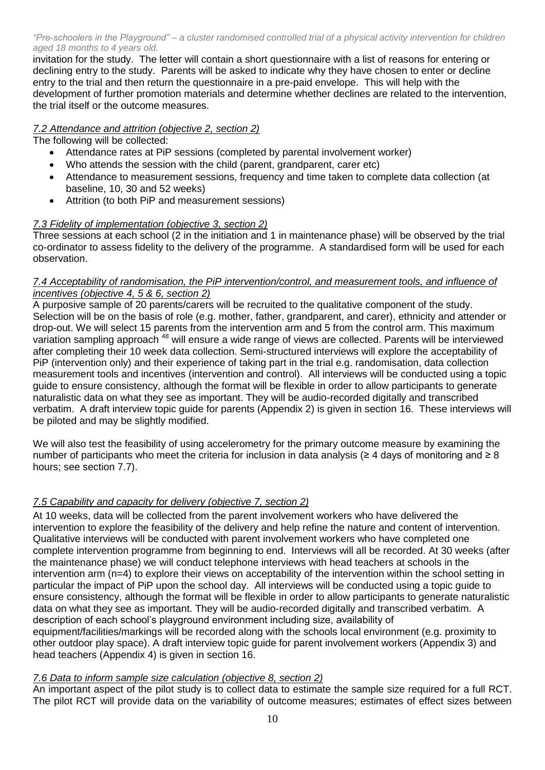invitation for the study. The letter will contain a short questionnaire with a list of reasons for entering or declining entry to the study. Parents will be asked to indicate why they have chosen to enter or decline entry to the trial and then return the questionnaire in a pre-paid envelope. This will help with the development of further promotion materials and determine whether declines are related to the intervention, the trial itself or the outcome measures.

# *7.2 Attendance and attrition (objective 2, section 2)*

The following will be collected:

- Attendance rates at PiP sessions (completed by parental involvement worker)
- Who attends the session with the child (parent, grandparent, carer etc)
- Attendance to measurement sessions, frequency and time taken to complete data collection (at baseline, 10, 30 and 52 weeks)
- Attrition (to both PiP and measurement sessions)

# *7.3 Fidelity of implementation (objective 3, section 2)*

Three sessions at each school (2 in the initiation and 1 in maintenance phase) will be observed by the trial co-ordinator to assess fidelity to the delivery of the programme. A standardised form will be used for each observation.

### *7.4 Acceptability of randomisation, the PiP intervention/control, and measurement tools, and influence of incentives (objective 4, 5 & 6, section 2)*

A purposive sample of 20 parents/carers will be recruited to the qualitative component of the study. Selection will be on the basis of role (e.g. mother, father, grandparent, and carer), ethnicity and attender or drop-out. We will select 15 parents from the intervention arm and 5 from the control arm. This maximum variation sampling approach <sup>48</sup> will ensure a wide range of views are collected. Parents will be interviewed after completing their 10 week data collection. Semi-structured interviews will explore the acceptability of PiP (intervention only) and their experience of taking part in the trial e.g. randomisation, data collection measurement tools and incentives (intervention and control). All interviews will be conducted using a topic guide to ensure consistency, although the format will be flexible in order to allow participants to generate naturalistic data on what they see as important. They will be audio-recorded digitally and transcribed verbatim. A draft interview topic guide for parents (Appendix 2) is given in section 16. These interviews will be piloted and may be slightly modified.

We will also test the feasibility of using accelerometry for the primary outcome measure by examining the number of participants who meet the criteria for inclusion in data analysis (≥ 4 days of monitoring and ≥ 8 hours; see section 7.7).

# *7.5 Capability and capacity for delivery (objective 7, section 2)*

At 10 weeks, data will be collected from the parent involvement workers who have delivered the intervention to explore the feasibility of the delivery and help refine the nature and content of intervention. Qualitative interviews will be conducted with parent involvement workers who have completed one complete intervention programme from beginning to end. Interviews will all be recorded. At 30 weeks (after the maintenance phase) we will conduct telephone interviews with head teachers at schools in the intervention arm (n=4) to explore their views on acceptability of the intervention within the school setting in particular the impact of PiP upon the school day. All interviews will be conducted using a topic guide to ensure consistency, although the format will be flexible in order to allow participants to generate naturalistic data on what they see as important. They will be audio-recorded digitally and transcribed verbatim. A description of each school's playground environment including size, availability of equipment/facilities/markings will be recorded along with the schools local environment (e.g. proximity to other outdoor play space). A draft interview topic guide for parent involvement workers (Appendix 3) and head teachers (Appendix 4) is given in section 16.

# *7.6 Data to inform sample size calculation (objective 8, section 2)*

An important aspect of the pilot study is to collect data to estimate the sample size required for a full RCT. The pilot RCT will provide data on the variability of outcome measures; estimates of effect sizes between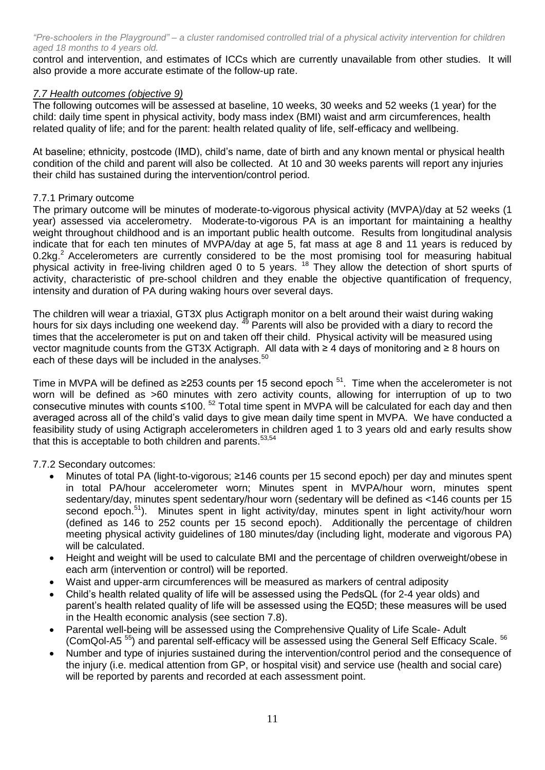control and intervention, and estimates of ICCs which are currently unavailable from other studies. It will also provide a more accurate estimate of the follow-up rate.

# *7.7 Health outcomes (objective 9)*

The following outcomes will be assessed at baseline, 10 weeks, 30 weeks and 52 weeks (1 year) for the child: daily time spent in physical activity, body mass index (BMI) waist and arm circumferences, health related quality of life; and for the parent: health related quality of life, self-efficacy and wellbeing.

At baseline; ethnicity, postcode (IMD), child's name, date of birth and any known mental or physical health condition of the child and parent will also be collected. At 10 and 30 weeks parents will report any injuries their child has sustained during the intervention/control period.

#### 7.7.1 Primary outcome

The primary outcome will be minutes of moderate-to-vigorous physical activity (MVPA)/day at 52 weeks (1 year) assessed via accelerometry. Moderate-to-vigorous PA is an important for maintaining a healthy weight throughout childhood and is an important public health outcome. Results from longitudinal analysis indicate that for each ten minutes of MVPA/day at age 5, fat mass at age 8 and 11 years is reduced by 0.2kg.<sup>2</sup> Accelerometers are currently considered to be the most promising tool for measuring habitual physical activity in free-living children aged 0 to 5 years. <sup>18</sup> They allow the detection of short spurts of activity, characteristic of pre-school children and they enable the objective quantification of frequency, intensity and duration of PA during waking hours over several days.

The children will wear a triaxial, GT3X plus Actigraph monitor on a belt around their waist during waking hours for six days including one weekend day. <sup>49</sup> Parents will also be provided with a diary to record the times that the accelerometer is put on and taken off their child. Physical activity will be measured using vector magnitude counts from the GT3X Actigraph. All data with ≥ 4 days of monitoring and ≥ 8 hours on each of these days will be included in the analyses.<sup>50</sup>

Time in MVPA will be defined as ≥253 counts per 15 second epoch  $51$ . Time when the accelerometer is not worn will be defined as >60 minutes with zero activity counts, allowing for interruption of up to two consecutive minutes with counts  $\leq 100$ . <sup>52</sup> Total time spent in MVPA will be calculated for each day and then averaged across all of the child's valid days to give mean daily time spent in MVPA. We have conducted a feasibility study of using Actigraph accelerometers in children aged 1 to 3 years old and early results show that this is acceptable to both children and parents.<sup>53,54</sup>

# 7.7.2 Secondary outcomes:

- Minutes of total PA (light-to-vigorous; ≥146 counts per 15 second epoch) per day and minutes spent in total PA/hour accelerometer worn; Minutes spent in MVPA/hour worn, minutes spent sedentary/day, minutes spent sedentary/hour worn (sedentary will be defined as <146 counts per 15 second epoch.<sup>51</sup>). Minutes spent in light activity/day, minutes spent in light activity/hour worn (defined as 146 to 252 counts per 15 second epoch). Additionally the percentage of children meeting physical activity guidelines of 180 minutes/day (including light, moderate and vigorous PA) will be calculated.
- Height and weight will be used to calculate BMI and the percentage of children overweight/obese in each arm (intervention or control) will be reported.
- Waist and upper-arm circumferences will be measured as markers of central adiposity
- Child's health related quality of life will be assessed using the PedsQL (for 2-4 year olds) and parent's health related quality of life will be assessed using the EQ5D; these measures will be used in the Health economic analysis (see section 7.8).
- Parental well-being will be assessed using the Comprehensive Quality of Life Scale- Adult (ComQol-A5<sup>55</sup>) and parental self-efficacy will be assessed using the General Self Efficacy Scale. <sup>56</sup>
- Number and type of injuries sustained during the intervention/control period and the consequence of the injury (i.e. medical attention from GP, or hospital visit) and service use (health and social care) will be reported by parents and recorded at each assessment point.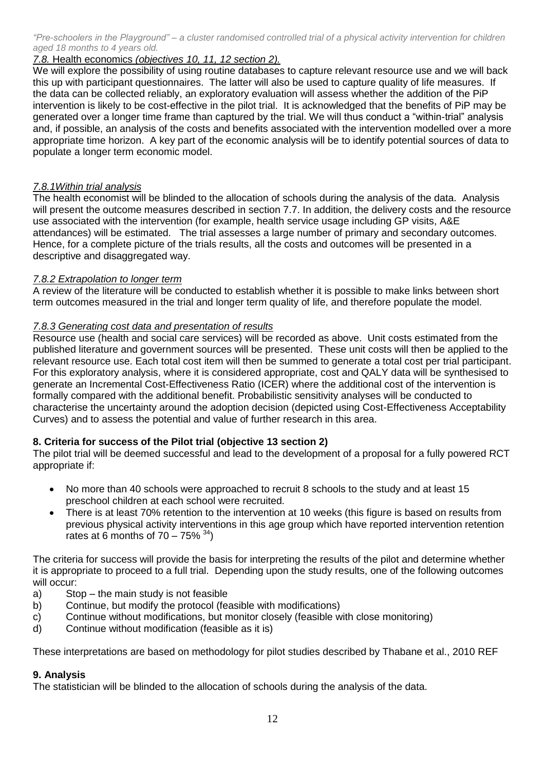# *7.8.* Health economics *(objectives 10, 11, 12 section 2).*

We will explore the possibility of using routine databases to capture relevant resource use and we will back this up with participant questionnaires. The latter will also be used to capture quality of life measures. If the data can be collected reliably, an exploratory evaluation will assess whether the addition of the PiP intervention is likely to be cost-effective in the pilot trial. It is acknowledged that the benefits of PiP may be generated over a longer time frame than captured by the trial. We will thus conduct a "within-trial" analysis and, if possible, an analysis of the costs and benefits associated with the intervention modelled over a more appropriate time horizon. A key part of the economic analysis will be to identify potential sources of data to populate a longer term economic model.

# *7.8.1Within trial analysis*

The health economist will be blinded to the allocation of schools during the analysis of the data.Analysis will present the outcome measures described in section 7.7. In addition, the delivery costs and the resource use associated with the intervention (for example, health service usage including GP visits, A&E attendances) will be estimated. The trial assesses a large number of primary and secondary outcomes. Hence, for a complete picture of the trials results, all the costs and outcomes will be presented in a descriptive and disaggregated way.

# *7.8.2 Extrapolation to longer term*

A review of the literature will be conducted to establish whether it is possible to make links between short term outcomes measured in the trial and longer term quality of life, and therefore populate the model.

# *7.8.3 Generating cost data and presentation of results*

Resource use (health and social care services) will be recorded as above. Unit costs estimated from the published literature and government sources will be presented. These unit costs will then be applied to the relevant resource use. Each total cost item will then be summed to generate a total cost per trial participant. For this exploratory analysis, where it is considered appropriate, cost and QALY data will be synthesised to generate an Incremental Cost-Effectiveness Ratio (ICER) where the additional cost of the intervention is formally compared with the additional benefit. Probabilistic sensitivity analyses will be conducted to characterise the uncertainty around the adoption decision (depicted using Cost-Effectiveness Acceptability Curves) and to assess the potential and value of further research in this area.

# **8. Criteria for success of the Pilot trial (objective 13 section 2)**

The pilot trial will be deemed successful and lead to the development of a proposal for a fully powered RCT appropriate if:

- No more than 40 schools were approached to recruit 8 schools to the study and at least 15 preschool children at each school were recruited.
- There is at least 70% retention to the intervention at 10 weeks (this figure is based on results from previous physical activity interventions in this age group which have reported intervention retention rates at 6 months of  $70 - 75\%$ <sup>34</sup>)

The criteria for success will provide the basis for interpreting the results of the pilot and determine whether it is appropriate to proceed to a full trial. Depending upon the study results, one of the following outcomes will occur:

- a) Stop the main study is not feasible
- b) Continue, but modify the protocol (feasible with modifications)
- c) Continue without modifications, but monitor closely (feasible with close monitoring)
- d) Continue without modification (feasible as it is)

These interpretations are based on methodology for pilot studies described by Thabane et al., 2010 REF

# **9. Analysis**

The statistician will be blinded to the allocation of schools during the analysis of the data.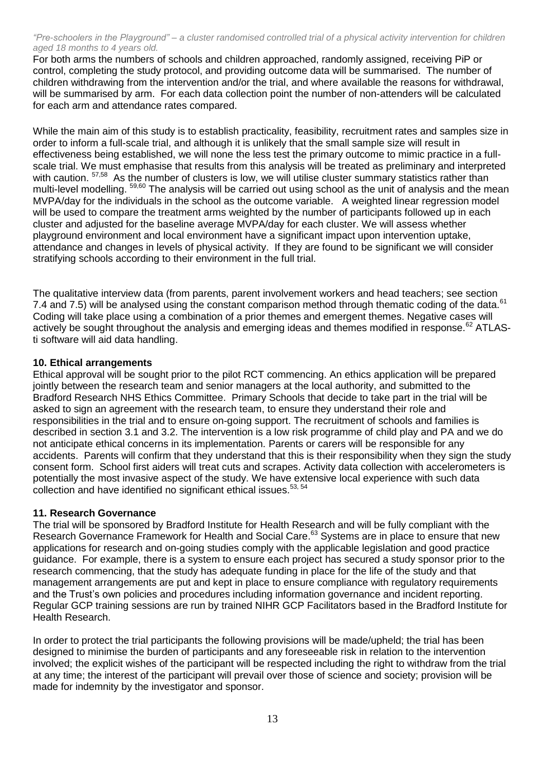For both arms the numbers of schools and children approached, randomly assigned, receiving PiP or control, completing the study protocol, and providing outcome data will be summarised. The number of children withdrawing from the intervention and/or the trial, and where available the reasons for withdrawal, will be summarised by arm. For each data collection point the number of non-attenders will be calculated for each arm and attendance rates compared.

While the main aim of this study is to establish practicality, feasibility, recruitment rates and samples size in order to inform a full-scale trial, and although it is unlikely that the small sample size will result in effectiveness being established, we will none the less test the primary outcome to mimic practice in a fullscale trial. We must emphasise that results from this analysis will be treated as preliminary and interpreted with caution. <sup>57,58</sup> As the number of clusters is low, we will utilise cluster summary statistics rather than multi-level modelling. <sup>59,60</sup> The analysis will be carried out using school as the unit of analysis and the mean MVPA/day for the individuals in the school as the outcome variable. A weighted linear regression model will be used to compare the treatment arms weighted by the number of participants followed up in each cluster and adjusted for the baseline average MVPA/day for each cluster. We will assess whether playground environment and local environment have a significant impact upon intervention uptake, attendance and changes in levels of physical activity. If they are found to be significant we will consider stratifying schools according to their environment in the full trial.

The qualitative interview data (from parents, parent involvement workers and head teachers; see section 7.4 and 7.5) will be analysed using the constant comparison method through thematic coding of the data.<sup>61</sup> Coding will take place using a combination of a prior themes and emergent themes. Negative cases will actively be sought throughout the analysis and emerging ideas and themes modified in response.<sup>62</sup> ATLASti software will aid data handling.

# **10. Ethical arrangements**

Ethical approval will be sought prior to the pilot RCT commencing. An ethics application will be prepared jointly between the research team and senior managers at the local authority, and submitted to the Bradford Research NHS Ethics Committee. Primary Schools that decide to take part in the trial will be asked to sign an agreement with the research team, to ensure they understand their role and responsibilities in the trial and to ensure on-going support. The recruitment of schools and families is described in section 3.1 and 3.2. The intervention is a low risk programme of child play and PA and we do not anticipate ethical concerns in its implementation. Parents or carers will be responsible for any accidents. Parents will confirm that they understand that this is their responsibility when they sign the study consent form. School first aiders will treat cuts and scrapes. Activity data collection with accelerometers is potentially the most invasive aspect of the study. We have extensive local experience with such data collection and have identified no significant ethical issues.<sup>53, 54</sup>

# **11. Research Governance**

The trial will be sponsored by Bradford Institute for Health Research and will be fully compliant with the Research Governance Framework for Health and Social Care.<sup>63</sup> Systems are in place to ensure that new applications for research and on-going studies comply with the applicable legislation and good practice guidance. For example, there is a system to ensure each project has secured a study sponsor prior to the research commencing, that the study has adequate funding in place for the life of the study and that management arrangements are put and kept in place to ensure compliance with regulatory requirements and the Trust's own policies and procedures including information governance and incident reporting. Regular GCP training sessions are run by trained NIHR GCP Facilitators based in the Bradford Institute for Health Research.

In order to protect the trial participants the following provisions will be made/upheld; the trial has been designed to minimise the burden of participants and any foreseeable risk in relation to the intervention involved; the explicit wishes of the participant will be respected including the right to withdraw from the trial at any time; the interest of the participant will prevail over those of science and society; provision will be made for indemnity by the investigator and sponsor.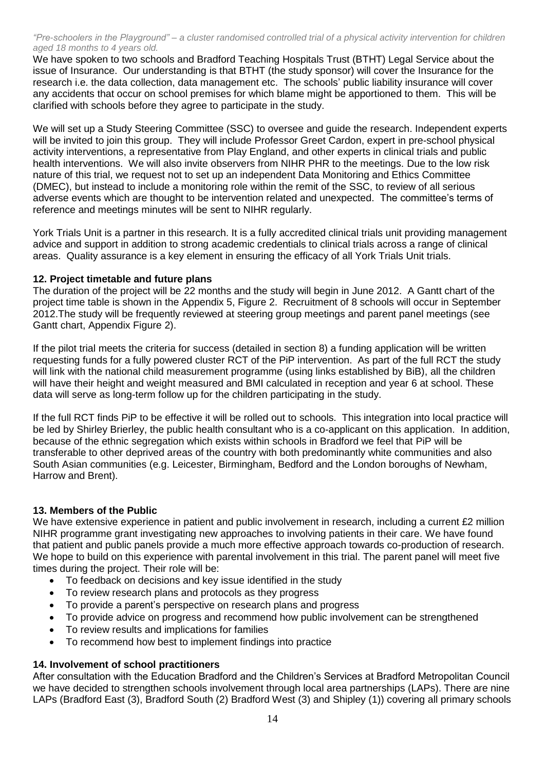We have spoken to two schools and Bradford Teaching Hospitals Trust (BTHT) Legal Service about the issue of Insurance. Our understanding is that BTHT (the study sponsor) will cover the Insurance for the research i.e. the data collection, data management etc. The schools' public liability insurance will cover any accidents that occur on school premises for which blame might be apportioned to them. This will be clarified with schools before they agree to participate in the study.

We will set up a Study Steering Committee (SSC) to oversee and guide the research. Independent experts will be invited to join this group. They will include Professor Greet Cardon, expert in pre-school physical activity interventions, a representative from Play England, and other experts in clinical trials and public health interventions. We will also invite observers from NIHR PHR to the meetings. Due to the low risk nature of this trial, we request not to set up an independent Data Monitoring and Ethics Committee (DMEC), but instead to include a monitoring role within the remit of the SSC, to review of all serious adverse events which are thought to be intervention related and unexpected. The committee's terms of reference and meetings minutes will be sent to NIHR regularly.

York Trials Unit is a partner in this research. It is a fully accredited clinical trials unit providing management advice and support in addition to strong academic credentials to clinical trials across a range of clinical areas. Quality assurance is a key element in ensuring the efficacy of all York Trials Unit trials.

# **12. Project timetable and future plans**

The duration of the project will be 22 months and the study will begin in June 2012. A Gantt chart of the project time table is shown in the Appendix 5, Figure 2. Recruitment of 8 schools will occur in September 2012.The study will be frequently reviewed at steering group meetings and parent panel meetings (see Gantt chart, Appendix Figure 2).

If the pilot trial meets the criteria for success (detailed in section 8) a funding application will be written requesting funds for a fully powered cluster RCT of the PiP intervention. As part of the full RCT the study will link with the national child measurement programme (using links established by BiB), all the children will have their height and weight measured and BMI calculated in reception and year 6 at school. These data will serve as long-term follow up for the children participating in the study.

If the full RCT finds PiP to be effective it will be rolled out to schools. This integration into local practice will be led by Shirley Brierley, the public health consultant who is a co-applicant on this application. In addition, because of the ethnic segregation which exists within schools in Bradford we feel that PiP will be transferable to other deprived areas of the country with both predominantly white communities and also South Asian communities (e.g. Leicester, Birmingham, Bedford and the London boroughs of Newham, Harrow and Brent).

# **13. Members of the Public**

We have extensive experience in patient and public involvement in research, including a current £2 million NIHR programme grant investigating new approaches to involving patients in their care. We have found that patient and public panels provide a much more effective approach towards co-production of research. We hope to build on this experience with parental involvement in this trial. The parent panel will meet five times during the project. Their role will be:

- To feedback on decisions and key issue identified in the study
- To review research plans and protocols as they progress
- To provide a parent's perspective on research plans and progress
- To provide advice on progress and recommend how public involvement can be strengthened
- To review results and implications for families
- To recommend how best to implement findings into practice

# **14. Involvement of school practitioners**

After consultation with the Education Bradford and the Children's Services at Bradford Metropolitan Council we have decided to strengthen schools involvement through local area partnerships (LAPs). There are nine LAPs (Bradford East (3), Bradford South (2) Bradford West (3) and Shipley (1)) covering all primary schools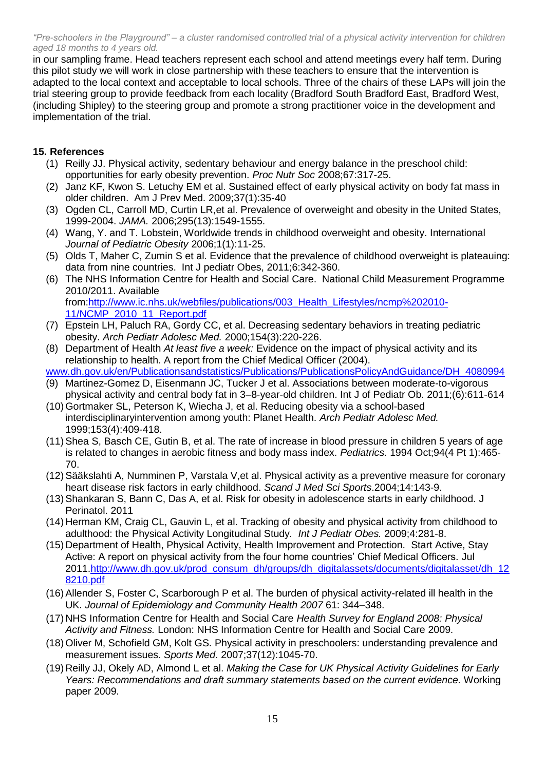in our sampling frame. Head teachers represent each school and attend meetings every half term. During this pilot study we will work in close partnership with these teachers to ensure that the intervention is adapted to the local context and acceptable to local schools. Three of the chairs of these LAPs will join the trial steering group to provide feedback from each locality (Bradford South Bradford East, Bradford West, (including Shipley) to the steering group and promote a strong practitioner voice in the development and implementation of the trial.

# **15. References**

- (1) Reilly JJ. Physical activity, sedentary behaviour and energy balance in the preschool child: opportunities for early obesity prevention. *Proc Nutr Soc* 2008;67:317-25.
- (2) Janz KF, Kwon S. Letuchy EM et al. Sustained effect of early physical activity on body fat mass in older children. Am J Prev Med. 2009;37(1):35-40
- (3) Ogden CL, Carroll MD, Curtin LR,et al. Prevalence of overweight and obesity in the United States, 1999-2004. *JAMA.* 2006;295(13):1549-1555.
- (4) Wang, Y. and T. Lobstein, Worldwide trends in childhood overweight and obesity. International *Journal of Pediatric Obesity* 2006;1(1):11-25.
- (5) Olds T, Maher C, Zumin S et al. Evidence that the prevalence of childhood overweight is plateauing: data from nine countries. Int J pediatr Obes, 2011;6:342-360.
- (6) The NHS Information Centre for Health and Social Care. National Child Measurement Programme 2010/2011. Available from:http://www.ic.nhs.uk/webfiles/publications/003\_Health\_Lifestyles/ncmp%202010-
- 11/NCMP 2010 11 Report.pdf (7) Epstein LH, Paluch RA, Gordy CC, et al. Decreasing sedentary behaviors in treating pediatric obesity. *Arch Pediatr Adolesc Med.* 2000;154(3):220-226.
- (8) Department of Health *At least five a week:* Evidence on the impact of physical activity and its relationship to health. A report from the Chief Medical Officer (2004).

www.dh.gov.uk/en/Publicationsandstatistics/Publications/PublicationsPolicyAndGuidance/DH\_4080994

- (9) Martinez-Gomez D, Eisenmann JC, Tucker J et al. Associations between moderate-to-vigorous physical activity and central body fat in 3–8-year-old children. Int J of Pediatr Ob. 2011;(6):611-614
- (10)Gortmaker SL, Peterson K, Wiecha J, et al. Reducing obesity via a school-based interdisciplinaryintervention among youth: Planet Health. *Arch Pediatr Adolesc Med.* 1999;153(4):409-418.
- (11)Shea S, Basch CE, Gutin B, et al. The rate of increase in blood pressure in children 5 years of age is related to changes in aerobic fitness and body mass index. *Pediatrics.* 1994 Oct;94(4 Pt 1):465- 70.
- (12[\)Sääkslahti A,](http://www.ncbi.nlm.nih.gov/pubmed?term=%22S%C3%A4%C3%A4kslahti%20A%22%5BAuthor%5D) [Numminen P,](http://www.ncbi.nlm.nih.gov/pubmed?term=%22Numminen%20P%22%5BAuthor%5D) [Varstala V,](http://www.ncbi.nlm.nih.gov/pubmed?term=%22Varstala%20V%22%5BAuthor%5D)et al. Physical activity as a preventive measure for coronary heart disease risk factors in early childhood. *[Scand J Med Sci Sports](http://www.ncbi.nlm.nih.gov/pubmed?term=saakslahti%20AND%20physical%20activity)*.2004;14:143-9.
- (13)Shankaran S, Bann C, Das A, et al. Risk for obesity in adolescence starts in early childhood. J Perinatol. 2011
- (14) Herman KM, Craig CL, Gauvin L, et al. Tracking of obesity and physical activity from childhood to adulthood: the Physical Activity Longitudinal Study*. Int J Pediatr Obes.* 2009;4:281-8.
- (15) Department of Health, Physical Activity, Health Improvement and Protection. Start Active, Stay Active: A report on physical activity from the four home countries' Chief Medical Officers. Jul 2011[.http://www.dh.gov.uk/prod\\_consum\\_dh/groups/dh\\_digitalassets/documents/digitalasset/dh\\_12](http://www.dh.gov.uk/prod_consum_dh/groups/dh_digitalassets/documents/digitalasset/dh_128210.pdf) [8210.pdf](http://www.dh.gov.uk/prod_consum_dh/groups/dh_digitalassets/documents/digitalasset/dh_128210.pdf)
- (16)Allender S, Foster C, Scarborough P et al. The burden of physical activity-related ill health in the UK. *Journal of Epidemiology and Community Health 2007* 61: 344–348.
- (17) NHS Information Centre for Health and Social Care *Health Survey for England 2008: Physical Activity and Fitness.* London: NHS Information Centre for Health and Social Care 2009.
- (18)Oliver M, Schofield GM, Kolt GS. Physical activity in preschoolers: understanding prevalence and measurement issues. *Sports Med*. 2007;37(12):1045-70.
- (19) Reilly JJ, Okely AD, Almond L et al. *Making the Case for UK Physical Activity Guidelines for Early Years: Recommendations and draft summary statements based on the current evidence.* Working paper 2009.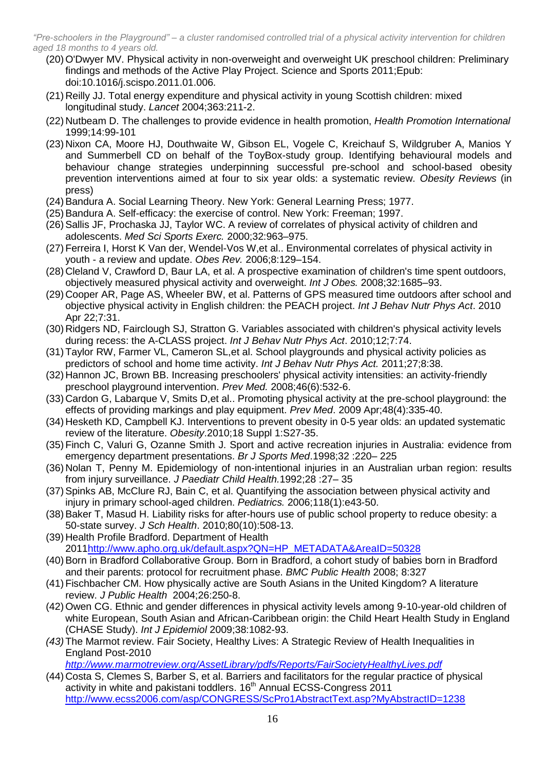- (20)O'Dwyer MV. Physical activity in non-overweight and overweight UK preschool children: Preliminary findings and methods of the Active Play Project. Science and Sports 2011;Epub: doi:10.1016/j.scispo.2011.01.006.
- (21) Reilly JJ. Total energy expenditure and physical activity in young Scottish children: mixed longitudinal study. *Lancet* 2004;363:211-2.
- (22) Nutbeam D. The challenges to provide evidence in health promotion, *Health Promotion International* 1999;14:99-101
- (23) Nixon CA, Moore HJ, Douthwaite W, Gibson EL, Vogele C, Kreichauf S, Wildgruber A, Manios Y and Summerbell CD on behalf of the ToyBox-study group. Identifying behavioural models and behaviour change strategies underpinning successful pre-school and school-based obesity prevention interventions aimed at four to six year olds: a systematic review. *Obesity Reviews* (in press)
- (24)Bandura A. Social Learning Theory. New York: General Learning Press; 1977.
- (25)Bandura A. Self-efficacy: the exercise of control. New York: Freeman; 1997.
- (26)Sallis JF, Prochaska JJ, Taylor WC. A review of correlates of physical activity of children and adolescents. *Med Sci Sports Exerc.* 2000;32:963–975.
- (27)Ferreira I, Horst K Van der, Wendel-Vos W,et al.. Environmental correlates of physical activity in youth - a review and update. *Obes Rev.* 2006;8:129–154.
- (28) Cleland V, Crawford D, Baur LA, et al. A prospective examination of children's time spent outdoors, objectively measured physical activity and overweight. *Int J Obes.* 2008;32:1685–93.
- (29) Cooper AR, Page AS, Wheeler BW, et al. Patterns of GPS measured time outdoors after school and objective physical activity in English children: the PEACH project. *Int J Behav Nutr Phys Act*. 2010 Apr 22;7:31.
- (30) [Ridgers ND,](http://www.ncbi.nlm.nih.gov/pubmed?term=%22Ridgers%20ND%22%5BAuthor%5D) Fairclough SJ, [Stratton G.](http://www.ncbi.nlm.nih.gov/pubmed?term=%22Stratton%20G%22%5BAuthor%5D) Variables associated with children's physical activity levels during recess: the A-CLASS project. *[Int J Behav Nutr Phys](http://www.ncbi.nlm.nih.gov/pubmed/20937142) Act*. 2010;12;7:74.
- (31)Taylor RW, Farmer VL, Cameron SL,et al. School playgrounds [and physical activity](http://www.ncbi.nlm.nih.gov/pubmed/21521530) policies as predictors of school [and home time activity.](http://www.ncbi.nlm.nih.gov/pubmed/21521530) *Int J Behav Nutr Phys Act.* 2011;27;8:38.
- (32) Hannon JC, Brown BB. Increasing preschoolers' physical activity intensities: an activity-friendly preschool playground intervention. *Prev Med.* 2008;46(6):532-6.
- (33) [Cardon](http://www.ncbi.nlm.nih.gov/pubmed?term=%22Cardon%20G%22%5BAuthor%5D) G, [Labarque V,](http://www.ncbi.nlm.nih.gov/pubmed?term=%22Labarque%20V%22%5BAuthor%5D) [Smits D,](http://www.ncbi.nlm.nih.gov/pubmed?term=%22Smits%20D%22%5BAuthor%5D)et al.. Promoting physical activity at the pre-school playground: the effects of providing markings and play equipment. *[Prev Med](http://www.ncbi.nlm.nih.gov/pubmed/19236894)*. 2009 Apr;48(4):335-40.
- (34) [Hesketh](http://www.ncbi.nlm.nih.gov/pubmed?term=%22Hesketh%20KD%22%5BAuthor%5D) KD, [Campbell](http://www.ncbi.nlm.nih.gov/pubmed?term=%22Campbell%20KJ%22%5BAuthor%5D) KJ. Interventions to prevent obesity in 0-5 year olds: an updated systematic review of the literature. *[Obesity](http://www.ncbi.nlm.nih.gov/pubmed/20107458)*.2010;18 Suppl 1:S27-35.
- (35)Finch C, Valuri G, Ozanne Smith J. Sport and active recreation injuries in Australia: evidence from emergency department presentations. *Br J Sports Med*.1998;32 :220– 225
- (36) Nolan T, Penny M. Epidemiology of non-intentional injuries in an Australian urban region: results from injury surveillance. *J Paediatr Child Health.*1992;28 :27– 35
- (37[\)Spinks](http://www.ncbi.nlm.nih.gov/pubmed?term=%22Spinks%20AB%22%5BAuthor%5D) AB, [McClure RJ,](http://www.ncbi.nlm.nih.gov/pubmed?term=%22McClure%20RJ%22%5BAuthor%5D) [Bain C,](http://www.ncbi.nlm.nih.gov/pubmed?term=%22Bain%20C%22%5BAuthor%5D) et al. Quantifying the association between physical activity and injury in primary school-aged children. *[Pediatrics.](http://www.ncbi.nlm.nih.gov/pubmed/16818536)* 2006;118(1):e43-50.
- (38[\)Baker](http://www.ncbi.nlm.nih.gov/pubmed?term=%22Baker%20T%22%5BAuthor%5D) T, [Masud H.](http://www.ncbi.nlm.nih.gov/pubmed?term=%22Masud%20H%22%5BAuthor%5D) Liability risks for after-hours use of public school property to reduce obesity: a 50-state survey. *[J Sch Health](http://www.ncbi.nlm.nih.gov/pubmed?term=Baker%20AND%20liability%20risk%20for%20after%20hours%20use%20of%20public%20school)*. 2010;80(10):508-13.
- (39) Health Profile Bradford. Department of Health 201[1http://www.apho.org.uk/default.aspx?QN=HP\\_METADATA&AreaID=50328](http://www.apho.org.uk/default.aspx?QN=HP_METADATA&AreaID=50328)
- (40)Born in Bradford Collaborative Group. Born in Bradford, a cohort study of babies born in Bradford and their parents: protocol for recruitment phase. *BMC Public Health* 2008; 8:327
- (41)Fischbacher CM. How physically active are South Asians in the United Kingdom? A literature review. *J Public Health* 2004;26:250-8.
- (42)Owen CG. Ethnic and gender differences in physical activity levels among 9-10-year-old children of white European, South Asian and African-Caribbean origin: the Child Heart Health Study in England (CHASE Study). *Int J Epidemiol* 2009;38:1082-93.
- *(43)*The Marmot review. Fair Society, Healthy Lives: A Strategic Review of Health Inequalities in England Post-2010

*http://www.marmotreview.org/AssetLibrary/pdfs/Reports/FairSocietyHealthyLives.pdf*

(44) Costa S, Clemes S, Barber S, et al. Barriers and facilitators for the regular practice of physical activity in white and pakistani toddlers. 16<sup>th</sup> Annual ECSS-Congress 2011 <http://www.ecss2006.com/asp/CONGRESS/ScPro1AbstractText.asp?MyAbstractID=1238>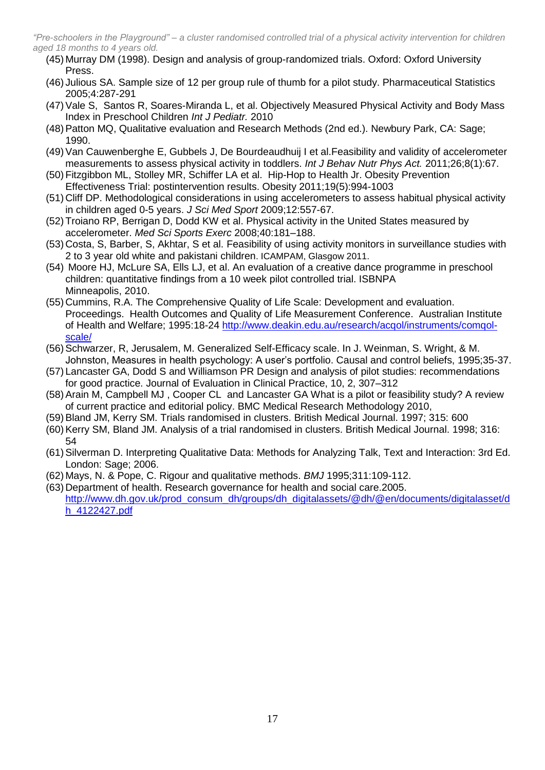- (45) Murray DM (1998). Design and analysis of group-randomized trials. Oxford: Oxford University Press.
- (46) Julious SA. Sample size of 12 per group rule of thumb for a pilot study. Pharmaceutical Statistics 2005;4:287-291
- (47)Vale S, Santos R, Soares-Miranda L, et al. Objectively Measured Physical Activity and Body Mass Index in Preschool Children *Int J Pediatr.* 2010
- (48)Patton MQ, Qualitative evaluation and Research Methods (2nd ed.). Newbury Park, CA: Sage; 1990.
- (49[\)Van Cauwenberghe](http://www.ncbi.nlm.nih.gov/pubmed?term=%22Van%20Cauwenberghe%20E%22%5BAuthor%5D) E, [Gubbels J,](http://www.ncbi.nlm.nih.gov/pubmed?term=%22Gubbels%20J%22%5BAuthor%5D) [De Bourdeaudhuij I](http://www.ncbi.nlm.nih.gov/pubmed?term=%22De%20Bourdeaudhuij%20I%22%5BAuthor%5D) et al.Feasibility and validity of accelerometer measurements to assess physical activity in toddlers. *[Int J Behav Nutr Phys Act.](http://www.ncbi.nlm.nih.gov/pubmed?term=cauwenberghe%20AND%20toddlers)* 2011;26;8(1):67.
- (50)Fitzgibbon ML, [Stolley MR,](http://www.ncbi.nlm.nih.gov/pubmed?term=%22Stolley%20MR%22%5BAuthor%5D) [Schiffer LA](http://www.ncbi.nlm.nih.gov/pubmed?term=%22Schiffer%20LA%22%5BAuthor%5D) et al. Hip-Hop to Health Jr. Obesity Prevention Effectiveness Trial: postintervention results. Obesity 2011;19(5):994-1003
- (51) Cliff DP. Methodological considerations in using accelerometers to assess habitual physical activity in children aged 0-5 years. *J Sci Med Sport* 2009;12:557-67.
- (52)Troiano RP, Berrigan D, Dodd KW et al. Physical activity in the United States measured by accelerometer. *Med Sci Sports Exerc* 2008;40:181–188.
- (53) Costa, S, Barber, S, Akhtar, S et al. Feasibility of using activity monitors in surveillance studies with 2 to 3 year old white and pakistani children. ICAMPAM, Glasgow 2011.
- (54) Moore HJ, McLure SA, Ells LJ, et al. An evaluation of a creative dance programme in preschool children: quantitative findings from a 10 week pilot controlled trial. ISBNPA Minneapolis, 2010.
- (55) Cummins, R.A. The Comprehensive Quality of Life Scale: Development and evaluation. Proceedings. Health Outcomes and Quality of Life Measurement Conference. Australian Institute of Health and Welfare; 1995:18-24 http://www.deakin.edu.au/research/acqol/instruments/comqolscale/
- (56)Schwarzer, R, Jerusalem, M. Generalized Self-Efficacy scale. In J. Weinman, S. Wright, & M. Johnston, Measures in health psychology: A user's portfolio. Causal and control beliefs, 1995;35-37.
- (57) Lancaster GA, Dodd S and Williamson PR Design and analysis of pilot studies: recommendations for good practice. Journal of Evaluation in Clinical Practice, 10, 2, 307–312
- (58)Arain M, Campbell MJ , Cooper CL and Lancaster GA What is a pilot or feasibility study? A review of current practice and editorial policy. BMC Medical Research Methodology 2010,
- (59)Bland JM, Kerry SM. Trials randomised in clusters. British Medical Journal. 1997; 315: 600
- (60)Kerry SM, Bland JM. Analysis of a trial randomised in clusters. British Medical Journal. 1998; 316: 54
- (61)Silverman D. Interpreting Qualitative Data: Methods for Analyzing Talk, Text and Interaction: 3rd Ed. London: Sage; 2006.
- (62) Mays, N. & Pope, C. Rigour and qualitative methods. *BMJ* 1995;311:109-112.
- (63) Department of health. Research governance for health and social care.2005. http://www.dh.gov.uk/prod\_consum\_dh/groups/dh\_digitalassets/@dh/@en/documents/digitalasset/d h\_4122427.pdf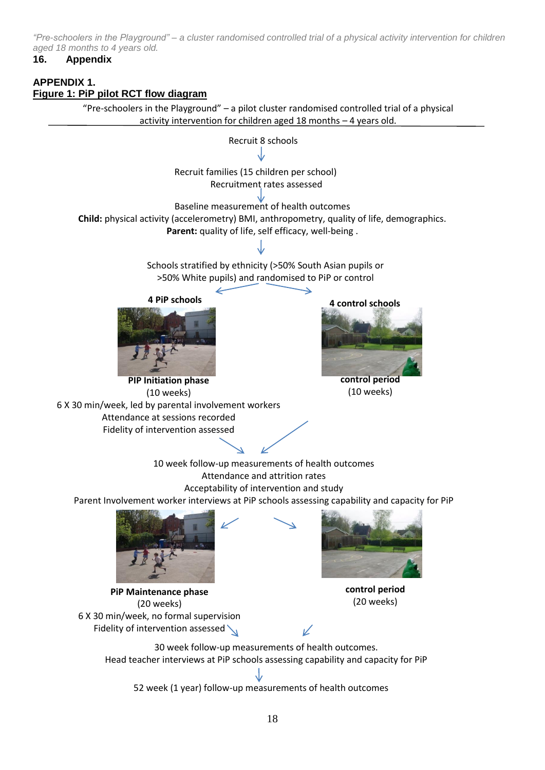### **16. Appendix**

# **APPENDIX 1. Figure 1: PiP pilot RCT flow diagram**

"Pre-schoolers in the Playground" – a pilot cluster randomised controlled trial of a physical activity intervention for children aged 18 months – 4 years old.

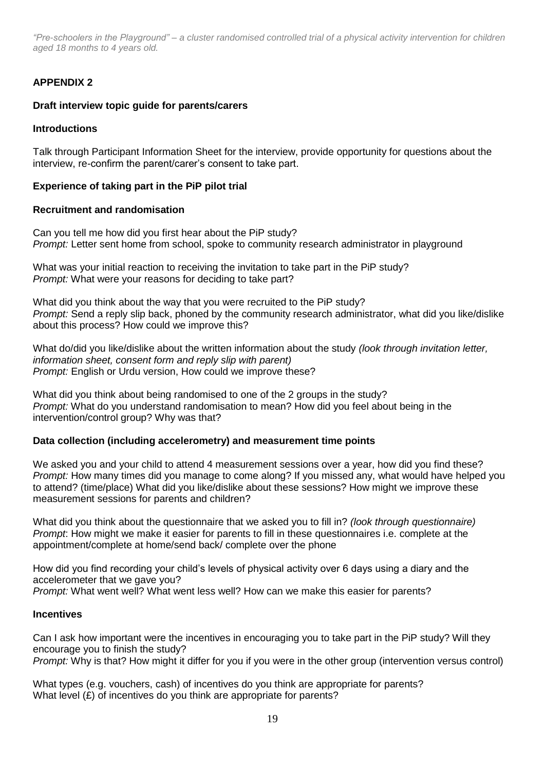# **APPENDIX 2**

# **Draft interview topic guide for parents/carers**

# **Introductions**

Talk through Participant Information Sheet for the interview, provide opportunity for questions about the interview, re-confirm the parent/carer's consent to take part.

# **Experience of taking part in the PiP pilot trial**

# **Recruitment and randomisation**

Can you tell me how did you first hear about the PiP study? *Prompt:* Letter sent home from school, spoke to community research administrator in playground

What was your initial reaction to receiving the invitation to take part in the PiP study? *Prompt:* What were your reasons for deciding to take part?

What did you think about the way that you were recruited to the PiP study? *Prompt:* Send a reply slip back, phoned by the community research administrator, what did you like/dislike about this process? How could we improve this?

What do/did you like/dislike about the written information about the study *(look through invitation letter, information sheet, consent form and reply slip with parent) Prompt:* English or Urdu version, How could we improve these?

What did you think about being randomised to one of the 2 groups in the study? *Prompt:* What do you understand randomisation to mean? How did you feel about being in the intervention/control group? Why was that?

# **Data collection (including accelerometry) and measurement time points**

We asked you and your child to attend 4 measurement sessions over a year, how did you find these? *Prompt:* How many times did you manage to come along? If you missed any, what would have helped you to attend? (time/place) What did you like/dislike about these sessions? How might we improve these measurement sessions for parents and children?

What did you think about the questionnaire that we asked you to fill in? *(look through questionnaire) Prompt*: How might we make it easier for parents to fill in these questionnaires i.e. complete at the appointment/complete at home/send back/ complete over the phone

How did you find recording your child's levels of physical activity over 6 days using a diary and the accelerometer that we gave you?

*Prompt:* What went well? What went less well? How can we make this easier for parents?

#### **Incentives**

Can I ask how important were the incentives in encouraging you to take part in the PiP study? Will they encourage you to finish the study?

*Prompt:* Why is that? How might it differ for you if you were in the other group (intervention versus control)

What types (e.g. vouchers, cash) of incentives do you think are appropriate for parents? What level (£) of incentives do you think are appropriate for parents?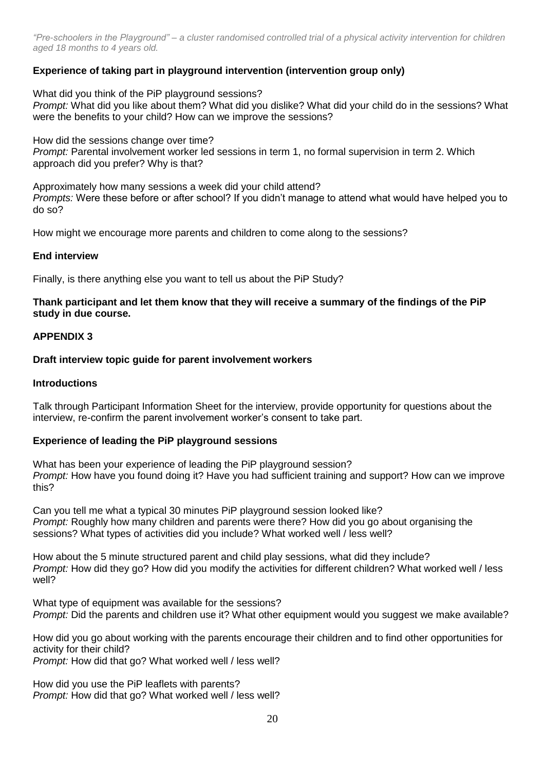# **Experience of taking part in playground intervention (intervention group only)**

What did you think of the PiP playground sessions? *Prompt:* What did you like about them? What did you dislike? What did your child do in the sessions? What were the benefits to your child? How can we improve the sessions?

How did the sessions change over time? *Prompt:* Parental involvement worker led sessions in term 1, no formal supervision in term 2. Which approach did you prefer? Why is that?

Approximately how many sessions a week did your child attend? *Prompts:* Were these before or after school? If you didn't manage to attend what would have helped you to do so?

How might we encourage more parents and children to come along to the sessions?

### **End interview**

Finally, is there anything else you want to tell us about the PiP Study?

### **Thank participant and let them know that they will receive a summary of the findings of the PiP study in due course.**

### **APPENDIX 3**

### **Draft interview topic guide for parent involvement workers**

#### **Introductions**

Talk through Participant Information Sheet for the interview, provide opportunity for questions about the interview, re-confirm the parent involvement worker's consent to take part.

# **Experience of leading the PiP playground sessions**

What has been your experience of leading the PiP playground session? *Prompt:* How have you found doing it? Have you had sufficient training and support? How can we improve this?

Can you tell me what a typical 30 minutes PiP playground session looked like? *Prompt:* Roughly how many children and parents were there? How did you go about organising the sessions? What types of activities did you include? What worked well / less well?

How about the 5 minute structured parent and child play sessions, what did they include? *Prompt:* How did they go? How did you modify the activities for different children? What worked well / less well?

What type of equipment was available for the sessions? *Prompt:* Did the parents and children use it? What other equipment would you suggest we make available?

How did you go about working with the parents encourage their children and to find other opportunities for activity for their child?

*Prompt:* How did that go? What worked well / less well?

How did you use the PiP leaflets with parents? *Prompt:* How did that go? What worked well / less well?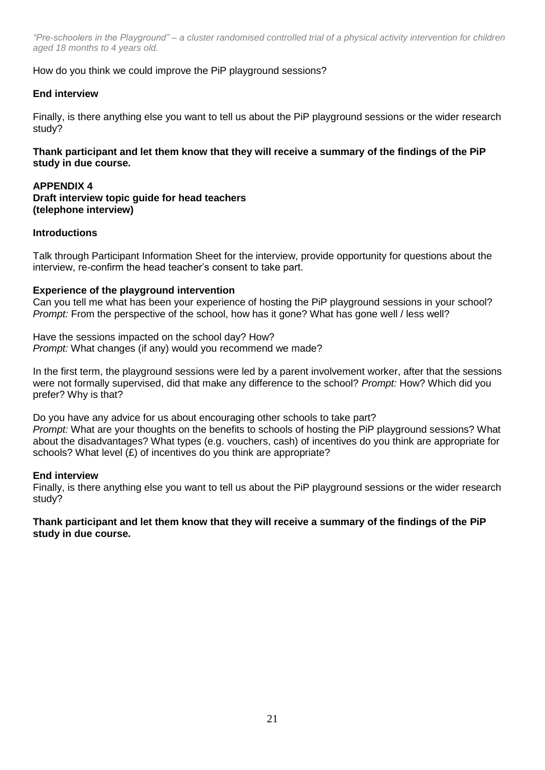How do you think we could improve the PiP playground sessions?

# **End interview**

Finally, is there anything else you want to tell us about the PiP playground sessions or the wider research study?

# **Thank participant and let them know that they will receive a summary of the findings of the PiP study in due course.**

# **APPENDIX 4**

**Draft interview topic guide for head teachers (telephone interview)**

# **Introductions**

Talk through Participant Information Sheet for the interview, provide opportunity for questions about the interview, re-confirm the head teacher's consent to take part.

# **Experience of the playground intervention**

Can you tell me what has been your experience of hosting the PiP playground sessions in your school? *Prompt:* From the perspective of the school, how has it gone? What has gone well / less well?

Have the sessions impacted on the school day? How? *Prompt:* What changes (if any) would you recommend we made?

In the first term, the playground sessions were led by a parent involvement worker, after that the sessions were not formally supervised, did that make any difference to the school? *Prompt:* How? Which did you prefer? Why is that?

Do you have any advice for us about encouraging other schools to take part? *Prompt:* What are your thoughts on the benefits to schools of hosting the PiP playground sessions? What about the disadvantages? What types (e.g. vouchers, cash) of incentives do you think are appropriate for schools? What level  $(E)$  of incentives do you think are appropriate?

# **End interview**

Finally, is there anything else you want to tell us about the PiP playground sessions or the wider research study?

### **Thank participant and let them know that they will receive a summary of the findings of the PiP study in due course.**